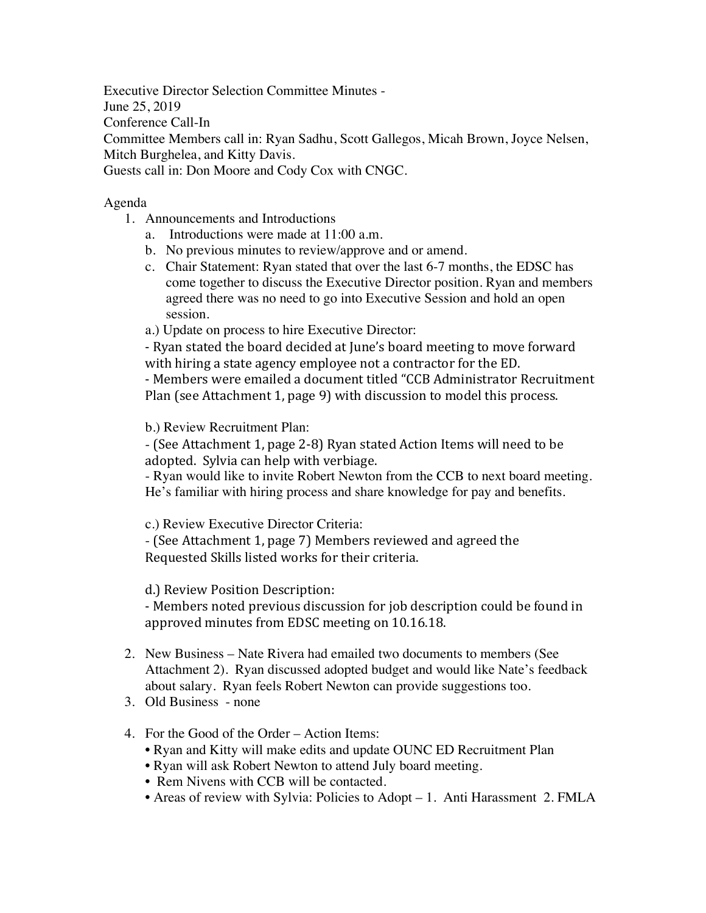Executive Director Selection Committee Minutes - June 25, 2019 Conference Call-In Committee Members call in: Ryan Sadhu, Scott Gallegos, Micah Brown, Joyce Nelsen, Mitch Burghelea, and Kitty Davis. Guests call in: Don Moore and Cody Cox with CNGC.

## Agenda

- 1. Announcements and Introductions
	- a. Introductions were made at 11:00 a.m.
	- b. No previous minutes to review/approve and or amend.
	- c. Chair Statement: Ryan stated that over the last 6-7 months, the EDSC has come together to discuss the Executive Director position. Ryan and members agreed there was no need to go into Executive Session and hold an open session.

a.) Update on process to hire Executive Director:

- Ryan stated the board decided at June's board meeting to move forward with hiring a state agency employee not a contractor for the ED.

- Members were emailed a document titled "CCB Administrator Recruitment Plan (see Attachment 1, page 9) with discussion to model this process.

b.) Review Recruitment Plan:

- (See Attachment 1, page 2-8) Ryan stated Action Items will need to be adopted. Sylvia can help with verbiage.

- Ryan would like to invite Robert Newton from the CCB to next board meeting. He's familiar with hiring process and share knowledge for pay and benefits.

c.) Review Executive Director Criteria:

- (See Attachment 1, page 7) Members reviewed and agreed the Requested Skills listed works for their criteria.

d.) Review Position Description:

- Members noted previous discussion for job description could be found in approved minutes from EDSC meeting on 10.16.18.

- 2. New Business Nate Rivera had emailed two documents to members (See Attachment 2). Ryan discussed adopted budget and would like Nate's feedback about salary. Ryan feels Robert Newton can provide suggestions too.
- 3. Old Business none
- 4. For the Good of the Order Action Items:
	- Ryan and Kitty will make edits and update OUNC ED Recruitment Plan
	- Ryan will ask Robert Newton to attend July board meeting.
	- Rem Nivens with CCB will be contacted.
	- Areas of review with Sylvia: Policies to Adopt 1. Anti Harassment 2. FMLA